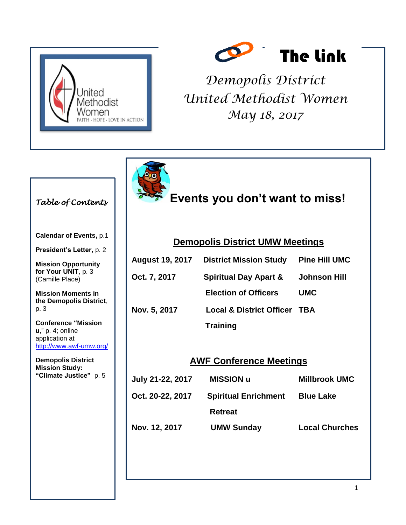



*Demopolis District United Methodist Women May 18, 2017*



## *Table of Contents*

**Calendar of Events,** p.1

**President's Letter,** p. 2

**Mission Opportunity for Your UNIT**, p. 3 (Camille Place)

**Mission Moments in the Demopolis District**, p. 3

**Conference "Mission u**," p. 4; online application at http://www.awf-umw.org/

**Demopolis District Mission Study: "Climate Justice"** p. 5

**Events you don't want to miss!**

#### **Demopolis District UMW Meetings**

|              | <b>August 19, 2017 District Mission Study</b> | <b>Pine Hill UMC</b> |
|--------------|-----------------------------------------------|----------------------|
| Oct. 7, 2017 | <b>Spiritual Day Apart &amp;</b>              | <b>Johnson Hill</b>  |
|              | <b>Election of Officers</b>                   | <b>UMC</b>           |
| Nov. 5, 2017 | <b>Local &amp; District Officer TBA</b>       |                      |
|              | <b>Training</b>                               |                      |

### **AWF Conference Meetings**

| July 21-22, 2017 | <b>MISSION u</b>            | <b>Millbrook UMC</b>  |
|------------------|-----------------------------|-----------------------|
| Oct. 20-22, 2017 | <b>Spiritual Enrichment</b> | <b>Blue Lake</b>      |
|                  | <b>Retreat</b>              |                       |
| Nov. 12, 2017    | <b>UMW Sunday</b>           | <b>Local Churches</b> |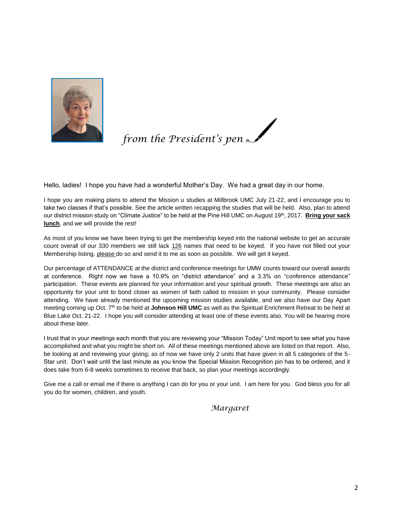

*from the President's pen* 

Hello, ladies! I hope you have had a wonderful Mother's Day. We had a great day in our home.

I hope you are making plans to attend the Mission u studies at Millbrook UMC July 21-22, and I encourage you to take two classes if that's possible. See the article written recapping the studies that will be held. Also, plan to attend our district mission study on "Climate Justice" to be held at the Pine Hill UMC on August 19<sup>th</sup>, 2017. **Bring your sack lunch**, and we will provide the rest!

As most of you know we have been trying to get the membership keyed into the national website to get an accurate count overall of our 330 members we still lack 126 names that need to be keyed. If you have not filled out your Membership listing, please do so and send it to me as soon as possible. We will get it keyed.

Our percentage of ATTENDANCE at the district and conference meetings for UMW counts toward our overall awards at conference. Right now we have a 10.9% on "district attendance" and a 3.3% on "conference attendance" participation. These events are planned for your information and your spiritual growth. These meetings are also an opportunity for your unit to bond closer as women of faith called to mission in your community. Please consider attending. We have already mentioned the upcoming mission studies available, and we also have our Day Apart meeting coming up Oct. 7th to be held at **Johnson Hill UMC** as well as the Spiritual Enrichment Retreat to be held at Blue Lake Oct. 21-22. I hope you will consider attending at least one of these events also. You will be hearing more about these later.

I trust that in your meetings each month that you are reviewing your "Mission Today" Unit report to see what you have accomplished and what you might be short on. All of these meetings mentioned above are listed on that report. Also, be looking at and reviewing your giving; as of now we have only 2 units that have given in all 5 categories of the 5- Star unit. Don't wait until the last minute as you know the Special Mission Recognition pin has to be ordered, and it does take from 6-8 weeks sometimes to receive that back, so plan your meetings accordingly.

Give me a call or email me if there is anything I can do for you or your unit. I am here for you. God bless you for all you do for women, children, and youth.

*Margaret*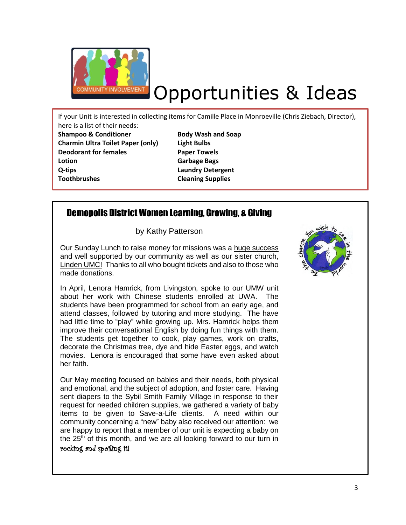

# Opportunities & Ideas

If your Unit is interested in collecting items for Camille Place in Monroeville (Chris Ziebach, Director), here is a list of their needs:

**Shampoo & Conditioner Body Wash and Soap Charmin Ultra Toilet Paper (only) Light Bulbs Deodorant for females Paper Towels Lotion Garbage Bags Q-tips Laundry Detergent Toothbrushes Cleaning Supplies**

# Demopolis District Women Learning, Growing, & Giving

by Kathy Patterson

Our Sunday Lunch to raise money for missions was a huge success and well supported by our community as well as our sister church, Linden UMC! Thanks to all who bought tickets and also to those who made donations.

In April, Lenora Hamrick, from Livingston, spoke to our UMW unit about her work with Chinese students enrolled at UWA. The students have been programmed for school from an early age, and attend classes, followed by tutoring and more studying. The have had little time to "play" while growing up. Mrs. Hamrick helps them improve their conversational English by doing fun things with them. The students get together to cook, play games, work on crafts, decorate the Christmas tree, dye and hide Easter eggs, and watch movies. Lenora is encouraged that some have even asked about her faith.

Our May meeting focused on babies and their needs, both physical and emotional, and the subject of adoption, and foster care. Having sent diapers to the Sybil Smith Family Village in response to their request for needed children supplies, we gathered a variety of baby items to be given to Save-a-Life clients. A need within our community concerning a "new" baby also received our attention: we are happy to report that a member of our unit is expecting a baby on the  $25<sup>th</sup>$  of this month, and we are all looking forward to our turn in

#### rocking and spoiling it!

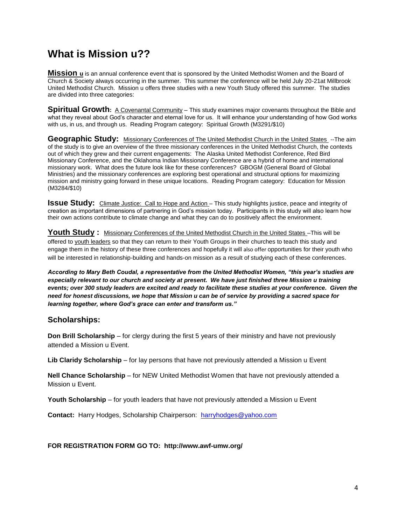# **What is Mission u??**

**Mission u** is an annual conference event that is sponsored by the United Methodist Women and the Board of Church & Society always occurring in the summer. This summer the conference will be held July 20-21at Millbrook United Methodist Church. Mission u offers three studies with a new Youth Study offered this summer. The studies are divided into three categories:

**Spiritual Growth**: A Covenantal Community – This study examines major covenants throughout the Bible and what they reveal about God's character and eternal love for us. It will enhance your understanding of how God works with us, in us, and through us. Reading Program category: Spiritual Growth (M3291/\$10)

**Geographic Study:** Missionary Conferences of The United Methodist Church in the United States --The aim of the study is to give an overview of the three missionary conferences in the United Methodist Church, the contexts out of which they grew and their current engagements: The Alaska United Methodist Conference, Red Bird Missionary Conference, and the Oklahoma Indian Missionary Conference are a hybrid of home and international missionary work. What does the future look like for these conferences? GBOGM (General Board of Global Ministries) and the missionary conferences are exploring best operational and structural options for maximizing mission and ministry going forward in these unique locations. Reading Program category: Education for Mission (M3284/\$10)

**Issue Study:** Climate Justice: Call to Hope and Action – This study highlights justice, peace and integrity of creation as important dimensions of partnering in God's mission today. Participants in this study will also learn how their own actions contribute to climate change and what they can do to positively affect the environment.

**Youth Study :** Missionary Conferences of the United Methodist Church in the United States –This will be offered to youth leaders so that they can return to their Youth Groups in their churches to teach this study and engage them in the history of these three conferences and hopefully it will also offer opportunities for their youth who will be interested in relationship-building and hands-on mission as a result of studying each of these conferences.

*According to Mary Beth Coudal, a representative from the United Methodist Women, "this year's studies are especially relevant to our church and society at present. We have just finished three Mission u training events; over 300 study leaders are excited and ready to facilitate these studies at your conference. Given the need for honest discussions, we hope that Mission u can be of service by providing a sacred space for learning together, where God's grace can enter and transform us."*

#### **Scholarships:**

**Don Brill Scholarship** – for clergy during the first 5 years of their ministry and have not previously attended a Mission u Event.

**Lib Claridy Scholarship** – for lay persons that have not previously attended a Mission u Event

**Nell Chance Scholarship** – for NEW United Methodist Women that have not previously attended a Mission u Event.

**Youth Scholarship** – for youth leaders that have not previously attended a Mission u Event

**Contact:** Harry Hodges, Scholarship Chairperson: harryhodges@yahoo.com

**FOR REGISTRATION FORM GO TO: http://www.awf-umw.org/**